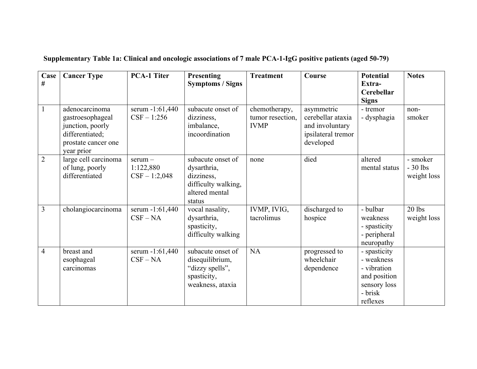| Case<br>$\#$   | <b>Cancer Type</b>                                                                                             | <b>PCA-1 Titer</b>                        | <b>Presenting</b><br><b>Symptoms / Signs</b>                                                      | <b>Treatment</b>                                 | Course                                                                                | <b>Potential</b><br>Extra-<br>Cerebellar<br><b>Signs</b>                                         | <b>Notes</b>                         |
|----------------|----------------------------------------------------------------------------------------------------------------|-------------------------------------------|---------------------------------------------------------------------------------------------------|--------------------------------------------------|---------------------------------------------------------------------------------------|--------------------------------------------------------------------------------------------------|--------------------------------------|
| $\mathbf{1}$   | adenocarcinoma<br>gastroesophageal<br>junction, poorly<br>differentiated;<br>prostate cancer one<br>year prior | serum -1:61,440<br>$CSF - 1:256$          | subacute onset of<br>dizziness,<br>imbalance,<br>incoordination                                   | chemotherapy,<br>tumor resection,<br><b>IVMP</b> | asymmetric<br>cerebellar ataxia<br>and involuntary<br>ipsilateral tremor<br>developed | - tremor<br>- dysphagia                                                                          | non-<br>smoker                       |
| $\overline{2}$ | large cell carcinoma<br>of lung, poorly<br>differentiated                                                      | $serum -$<br>1:122,880<br>$CSF - 1:2,048$ | subacute onset of<br>dysarthria,<br>dizziness,<br>difficulty walking,<br>altered mental<br>status | none                                             | died                                                                                  | altered<br>mental status                                                                         | - smoker<br>$-30$ lbs<br>weight loss |
| $\overline{3}$ | cholangiocarcinoma                                                                                             | serum -1:61,440<br>$CSF - NA$             | vocal nasality,<br>dysarthria,<br>spasticity,<br>difficulty walking                               | IVMP, IVIG,<br>tacrolimus                        | discharged to<br>hospice                                                              | - bulbar<br>weakness<br>- spasticity<br>- peripheral<br>neuropathy                               | $20$ lbs<br>weight loss              |
| $\overline{4}$ | breast and<br>esophageal<br>carcinomas                                                                         | serum -1:61,440<br>$CSF - NA$             | subacute onset of<br>disequilibrium,<br>"dizzy spells",<br>spasticity,<br>weakness, ataxia        | NA                                               | progressed to<br>wheelchair<br>dependence                                             | - spasticity<br>- weakness<br>- vibration<br>and position<br>sensory loss<br>- brisk<br>reflexes |                                      |

**Supplementary Table 1a: Clinical and oncologic associations of 7 male PCA-1-IgG positive patients (aged 50-79)**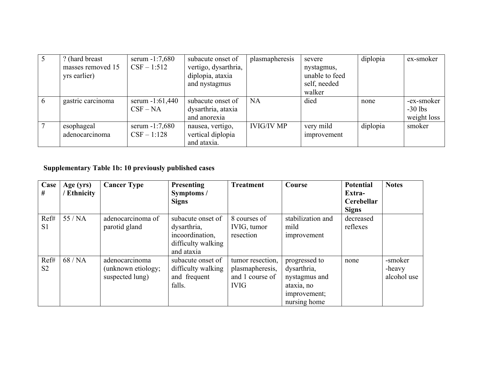|   | ? (hard breast)   | serum $-1:7,680$ | subacute onset of    | plasmapheresis    | severe         | diplopia | ex-smoker   |
|---|-------------------|------------------|----------------------|-------------------|----------------|----------|-------------|
|   | masses removed 15 | $CSF - 1:512$    | vertigo, dysarthria, |                   | nystagmus,     |          |             |
|   | yrs earlier)      |                  | diplopia, ataxia     |                   | unable to feed |          |             |
|   |                   |                  | and nystagmus        |                   | self, needed   |          |             |
|   |                   |                  |                      |                   | walker         |          |             |
| 6 | gastric carcinoma | serum -1:61,440  | subacute onset of    | <b>NA</b>         | died           | none     | -ex-smoker  |
|   |                   | $CSF-NA$         | dysarthria, ataxia   |                   |                |          | $-30$ lbs   |
|   |                   |                  | and anorexia         |                   |                |          | weight loss |
|   | esophageal        | serum $-1:7,680$ | nausea, vertigo,     | <b>IVIG/IV MP</b> | very mild      | diplopia | smoker      |
|   | adenocarcinoma    | $CSF - 1:128$    | vertical diplopia    |                   | improvement    |          |             |
|   |                   |                  | and ataxia.          |                   |                |          |             |

## **Supplementary Table 1b: 10 previously published cases**

| Case<br>#              | Age (yrs)<br><b>Ethnicity</b> | <b>Cancer Type</b>                                      | <b>Presenting</b><br>Symptoms /<br><b>Signs</b>                                         | <b>Treatment</b>                                                      | Course                                                                                      | <b>Potential</b><br>Extra-<br>Cerebellar<br><b>Signs</b> | <b>Notes</b>                     |
|------------------------|-------------------------------|---------------------------------------------------------|-----------------------------------------------------------------------------------------|-----------------------------------------------------------------------|---------------------------------------------------------------------------------------------|----------------------------------------------------------|----------------------------------|
| Ref#<br>S <sub>1</sub> | 55/NA                         | adenocarcinoma of<br>parotid gland                      | subacute onset of<br>dysarthria,<br>incoordination,<br>difficulty walking<br>and ataxia | 8 courses of<br>IVIG, tumor<br>resection                              | stabilization and<br>mild<br>improvement                                                    | decreased<br>reflexes                                    |                                  |
| Ref#<br>S <sub>2</sub> | 68/NA                         | adenocarcinoma<br>(unknown etiology;<br>suspected lung) | subacute onset of<br>difficulty walking<br>and frequent<br>falls.                       | tumor resection,<br>plasmapheresis,<br>and 1 course of<br><b>IVIG</b> | progressed to<br>dysarthria,<br>nystagmus and<br>ataxia, no<br>improvement;<br>nursing home | none                                                     | -smoker<br>-heavy<br>alcohol use |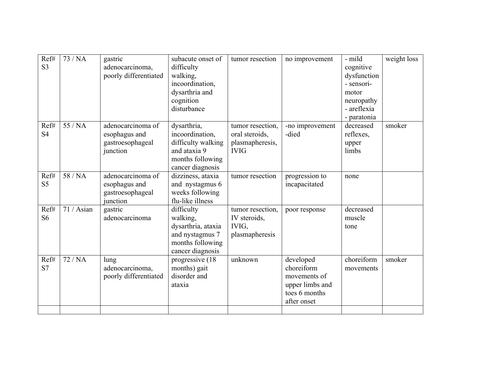| Ref#<br>S <sub>3</sub> | 73/NA      | gastric<br>adenocarcinoma,<br>poorly differentiated                | subacute onset of<br>difficulty<br>walking,<br>incoordination,<br>dysarthria and<br>cognition<br>disturbance | tumor resection                                                      | no improvement                                                                             | - mild<br>cognitive<br>dysfunction<br>- sensori-<br>motor<br>neuropathy<br>- areflexia<br>- paratonia | weight loss |
|------------------------|------------|--------------------------------------------------------------------|--------------------------------------------------------------------------------------------------------------|----------------------------------------------------------------------|--------------------------------------------------------------------------------------------|-------------------------------------------------------------------------------------------------------|-------------|
| Ref#<br><b>S4</b>      | 55 / NA    | adenocarcinoma of<br>esophagus and<br>gastroesophageal<br>junction | dysarthria,<br>incoordination,<br>difficulty walking<br>and ataxia 9<br>months following<br>cancer diagnosis | tumor resection.<br>oral steroids,<br>plasmapheresis,<br><b>IVIG</b> | -no improvement<br>-died                                                                   | decreased<br>reflexes,<br>upper<br>limbs                                                              | smoker      |
| Ref#<br>S <sub>5</sub> | 58 / NA    | adenocarcinoma of<br>esophagus and<br>gastroesophageal<br>iunction | dizziness, ataxia<br>and nystagmus 6<br>weeks following<br>flu-like illness                                  | tumor resection                                                      | progression to<br>incapacitated                                                            | none                                                                                                  |             |
| Ref#<br>S <sub>6</sub> | 71 / Asian | gastric<br>adenocarcinoma                                          | difficulty<br>walking,<br>dysarthria, ataxia<br>and nystagmus 7<br>months following<br>cancer diagnosis      | tumor resection,<br>IV steroids,<br>IVIG,<br>plasmapheresis          | poor response                                                                              | decreased<br>muscle<br>tone                                                                           |             |
| Ref#<br>S7             | 72/NA      | lung<br>adenocarcinoma,<br>poorly differentiated                   | progressive (18)<br>months) gait<br>disorder and<br>ataxia                                                   | unknown                                                              | developed<br>choreiform<br>movements of<br>upper limbs and<br>toes 6 months<br>after onset | choreiform<br>movements                                                                               | smoker      |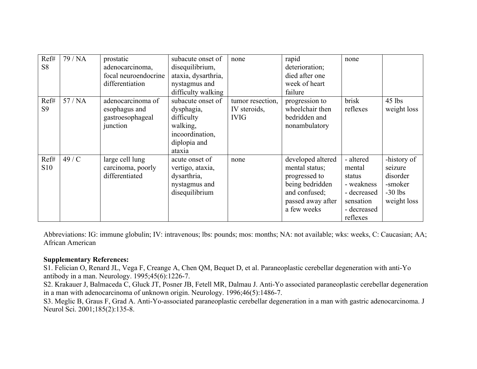| Ref#<br>S <sub>8</sub> | 79 / NA | prostatic<br>adenocarcinoma,<br>focal neuroendocrine<br>differentiation | subacute onset of<br>disequilibrium,<br>ataxia, dysarthria,<br>nystagmus and<br>difficulty walking     | none                                            | rapid<br>deterioration;<br>died after one<br>week of heart<br>failure                                                        | none                                                                                               |                                                                           |
|------------------------|---------|-------------------------------------------------------------------------|--------------------------------------------------------------------------------------------------------|-------------------------------------------------|------------------------------------------------------------------------------------------------------------------------------|----------------------------------------------------------------------------------------------------|---------------------------------------------------------------------------|
| Ref#<br>S <sub>9</sub> | 57/NA   | adenocarcinoma of<br>esophagus and<br>gastroesophageal<br>junction      | subacute onset of<br>dysphagia,<br>difficulty<br>walking,<br>incoordination,<br>diplopia and<br>ataxia | tumor resection,<br>IV steroids,<br><b>IVIG</b> | progression to<br>wheelchair then<br>bedridden and<br>nonambulatory                                                          | brisk<br>reflexes                                                                                  | $45$ lbs<br>weight loss                                                   |
| Ref#<br><b>S10</b>     | 49/C    | large cell lung<br>carcinoma, poorly<br>differentiated                  | acute onset of<br>vertigo, ataxia,<br>dysarthria,<br>nystagmus and<br>disequilibrium                   | none                                            | developed altered<br>mental status;<br>progressed to<br>being bedridden<br>and confused;<br>passed away after<br>a few weeks | - altered<br>mental<br>status<br>- weakness<br>- decreased<br>sensation<br>- decreased<br>reflexes | -history of<br>seizure<br>disorder<br>-smoker<br>$-30$ lbs<br>weight loss |

Abbreviations: IG: immune globulin; IV: intravenous; lbs: pounds; mos: months; NA: not available; wks: weeks, C: Caucasian; AA; African American

## **Supplementary References:**

S1. Felician O, Renard JL, Vega F, Creange A, Chen QM, Bequet D, et al. Paraneoplastic cerebellar degeneration with anti-Yo antibody in a man. Neurology. 1995;45(6):1226-7.

S2. Krakauer J, Balmaceda C, Gluck JT, Posner JB, Fetell MR, Dalmau J. Anti-Yo associated paraneoplastic cerebellar degeneration in a man with adenocarcinoma of unknown origin. Neurology. 1996;46(5):1486-7.

S3. Meglic B, Graus F, Grad A. Anti-Yo-associated paraneoplastic cerebellar degeneration in a man with gastric adenocarcinoma. J Neurol Sci. 2001;185(2):135-8.